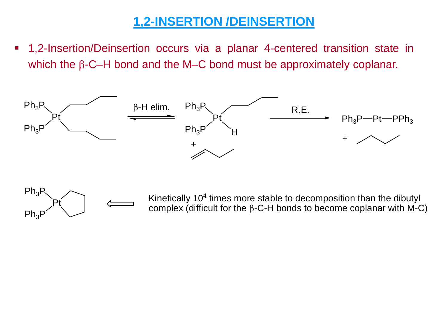## **1,2-INSERTION /DEINSERTION**

▪ 1,2-Insertion/Deinsertion occurs via a planar 4-centered transition state in which the  $\beta$ -C–H bond and the M–C bond must be approximately coplanar.





Kinetically  $10<sup>4</sup>$  times more stable to decomposition than the dibutyl complex (difficult for the  $\beta$ -C-H bonds to become coplanar with M-C)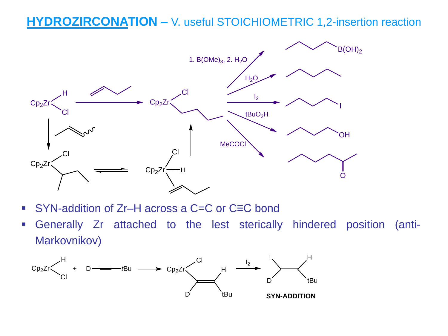## **HYDROZIRCONATION –** V. useful STOICHIOMETRIC 1,2-insertion reaction



- SYN-addition of Zr–H across a C=C or C≡C bond
- Generally Zr attached to the lest sterically hindered position (anti-Markovnikov)

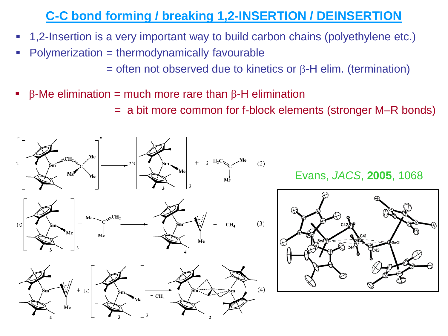## **C-C bond forming / breaking 1,2-INSERTION / DEINSERTION**

- 1,2-Insertion is a very important way to build carbon chains (polyethylene etc.)
- $Polymerization = thermodynamically favourable$

 $=$  often not observed due to kinetics or  $\beta$ -H elim. (termination)

- **•**  $\beta$ -Me elimination = much more rare than  $\beta$ -H elimination
	- = a bit more common for f-block elements (stronger M–R bonds)